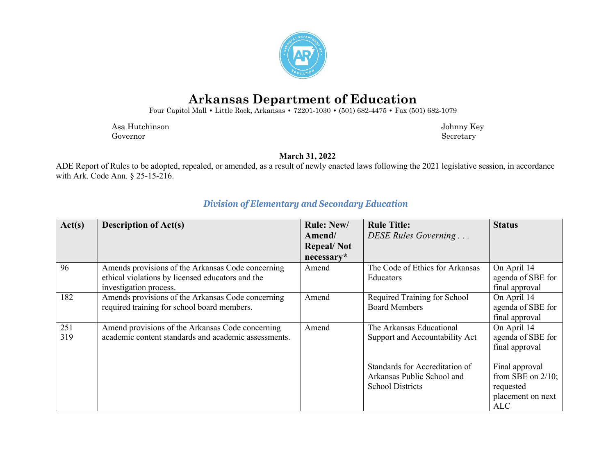

## **Arkansas Department of Education**

Four Capitol Mall **•** Little Rock, Arkansas **•** 72201-1030 **•** (501) 682-4475 **•** Fax (501) 682-1079

 Asa Hutchinson Johnny Key Governor Secretary Secretary Secretary Secretary Secretary Secretary Secretary Secretary Secretary Secretary Secretary Secretary Secretary Secretary Secretary Secretary Secretary Secretary Secretary Secretary Secretary Sec

**March 31, 2022**

ADE Report of Rules to be adopted, repealed, or amended, as a result of newly enacted laws following the 2021 legislative session, in accordance with Ark. Code Ann. § 25-15-216.

| Act(s)     | <b>Description of Act(s)</b>                                                                                                    | <b>Rule: New/</b><br>Amend/<br><b>Repeal/Not</b> | <b>Rule Title:</b><br>DESE Rules Governing                                              | <b>Status</b>                                                                          |
|------------|---------------------------------------------------------------------------------------------------------------------------------|--------------------------------------------------|-----------------------------------------------------------------------------------------|----------------------------------------------------------------------------------------|
|            |                                                                                                                                 | necessary*                                       |                                                                                         |                                                                                        |
| 96         | Amends provisions of the Arkansas Code concerning<br>ethical violations by licensed educators and the<br>investigation process. | Amend                                            | The Code of Ethics for Arkansas<br><b>Educators</b>                                     | On April 14<br>agenda of SBE for<br>final approval                                     |
| 182        | Amends provisions of the Arkansas Code concerning<br>required training for school board members.                                | Amend                                            | Required Training for School<br><b>Board Members</b>                                    | On April 14<br>agenda of SBE for<br>final approval                                     |
| 251<br>319 | Amend provisions of the Arkansas Code concerning<br>academic content standards and academic assessments.                        | Amend                                            | The Arkansas Educational<br>Support and Accountability Act                              | On April 14<br>agenda of SBE for<br>final approval                                     |
|            |                                                                                                                                 |                                                  | Standards for Accreditation of<br>Arkansas Public School and<br><b>School Districts</b> | Final approval<br>from SBE on $2/10$ ;<br>requested<br>placement on next<br><b>ALC</b> |

## *Division of Elementary and Secondary Education*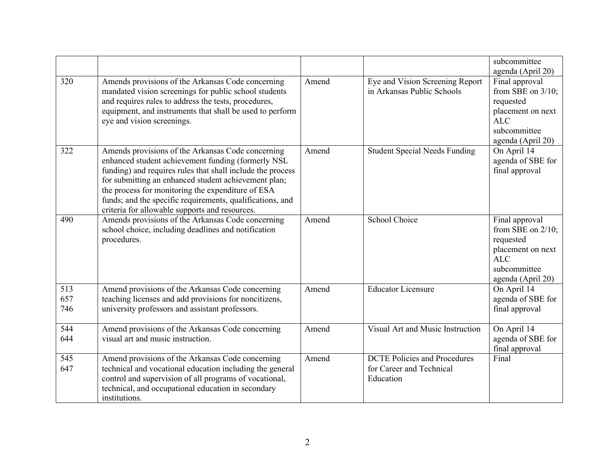|                   |                                                                                                                                                                                                                                                                                                                                                                                                   |       |                                                                              | subcommittee<br>agenda (April 20)                                                                                           |
|-------------------|---------------------------------------------------------------------------------------------------------------------------------------------------------------------------------------------------------------------------------------------------------------------------------------------------------------------------------------------------------------------------------------------------|-------|------------------------------------------------------------------------------|-----------------------------------------------------------------------------------------------------------------------------|
| 320               | Amends provisions of the Arkansas Code concerning<br>mandated vision screenings for public school students<br>and requires rules to address the tests, procedures,<br>equipment, and instruments that shall be used to perform<br>eye and vision screenings.                                                                                                                                      | Amend | Eye and Vision Screening Report<br>in Arkansas Public Schools                | Final approval<br>from SBE on $3/10$ ;<br>requested<br>placement on next<br><b>ALC</b><br>subcommittee<br>agenda (April 20) |
| 322               | Amends provisions of the Arkansas Code concerning<br>enhanced student achievement funding (formerly NSL<br>funding) and requires rules that shall include the process<br>for submitting an enhanced student achievement plan;<br>the process for monitoring the expenditure of ESA<br>funds; and the specific requirements, qualifications, and<br>criteria for allowable supports and resources. | Amend | <b>Student Special Needs Funding</b>                                         | On April 14<br>agenda of SBE for<br>final approval                                                                          |
| 490               | Amends provisions of the Arkansas Code concerning<br>school choice, including deadlines and notification<br>procedures.                                                                                                                                                                                                                                                                           | Amend | School Choice                                                                | Final approval<br>from SBE on $2/10$ ;<br>requested<br>placement on next<br><b>ALC</b><br>subcommittee<br>agenda (April 20) |
| 513<br>657<br>746 | Amend provisions of the Arkansas Code concerning<br>teaching licenses and add provisions for noncitizens,<br>university professors and assistant professors.                                                                                                                                                                                                                                      | Amend | <b>Educator Licensure</b>                                                    | On April 14<br>agenda of SBE for<br>final approval                                                                          |
| 544<br>644        | Amend provisions of the Arkansas Code concerning<br>visual art and music instruction.                                                                                                                                                                                                                                                                                                             | Amend | Visual Art and Music Instruction                                             | On April 14<br>agenda of SBE for<br>final approval                                                                          |
| 545<br>647        | Amend provisions of the Arkansas Code concerning<br>technical and vocational education including the general<br>control and supervision of all programs of vocational,<br>technical, and occupational education in secondary<br>institutions.                                                                                                                                                     | Amend | <b>DCTE Policies and Procedures</b><br>for Career and Technical<br>Education | Final                                                                                                                       |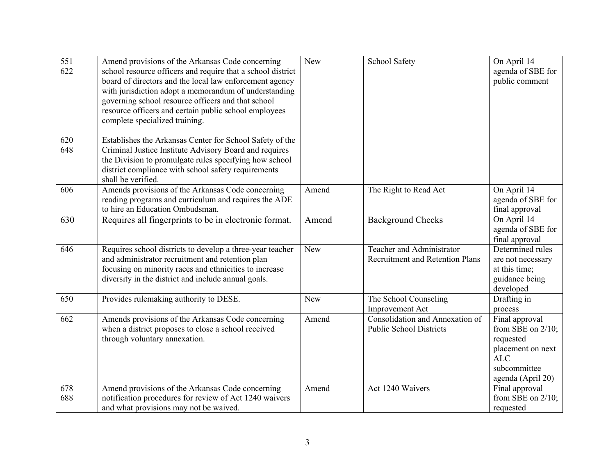| 551<br>622 | Amend provisions of the Arkansas Code concerning<br>school resource officers and require that a school district<br>board of directors and the local law enforcement agency<br>with jurisdiction adopt a memorandum of understanding<br>governing school resource officers and that school<br>resource officers and certain public school employees<br>complete specialized training. | New   | School Safety                                                              | On April 14<br>agenda of SBE for<br>public comment                                                                          |
|------------|--------------------------------------------------------------------------------------------------------------------------------------------------------------------------------------------------------------------------------------------------------------------------------------------------------------------------------------------------------------------------------------|-------|----------------------------------------------------------------------------|-----------------------------------------------------------------------------------------------------------------------------|
| 620<br>648 | Establishes the Arkansas Center for School Safety of the<br>Criminal Justice Institute Advisory Board and requires<br>the Division to promulgate rules specifying how school<br>district compliance with school safety requirements<br>shall be verified.                                                                                                                            |       |                                                                            |                                                                                                                             |
| 606        | Amends provisions of the Arkansas Code concerning<br>reading programs and curriculum and requires the ADE<br>to hire an Education Ombudsman.                                                                                                                                                                                                                                         | Amend | The Right to Read Act                                                      | On April 14<br>agenda of SBE for<br>final approval                                                                          |
| 630        | Requires all fingerprints to be in electronic format.                                                                                                                                                                                                                                                                                                                                | Amend | <b>Background Checks</b>                                                   | On April 14<br>agenda of SBE for<br>final approval                                                                          |
| 646        | Requires school districts to develop a three-year teacher<br>and administrator recruitment and retention plan<br>focusing on minority races and ethnicities to increase<br>diversity in the district and include annual goals.                                                                                                                                                       | New   | <b>Teacher and Administrator</b><br><b>Recruitment and Retention Plans</b> | Determined rules<br>are not necessary<br>at this time;<br>guidance being<br>developed                                       |
| 650        | Provides rulemaking authority to DESE.                                                                                                                                                                                                                                                                                                                                               | New   | The School Counseling<br>Improvement Act                                   | Drafting in<br>process                                                                                                      |
| 662        | Amends provisions of the Arkansas Code concerning<br>when a district proposes to close a school received<br>through voluntary annexation.                                                                                                                                                                                                                                            | Amend | Consolidation and Annexation of<br><b>Public School Districts</b>          | Final approval<br>from SBE on $2/10$ ;<br>requested<br>placement on next<br><b>ALC</b><br>subcommittee<br>agenda (April 20) |
| 678<br>688 | Amend provisions of the Arkansas Code concerning<br>notification procedures for review of Act 1240 waivers<br>and what provisions may not be waived.                                                                                                                                                                                                                                 | Amend | Act 1240 Waivers                                                           | Final approval<br>from SBE on $2/10$ ;<br>requested                                                                         |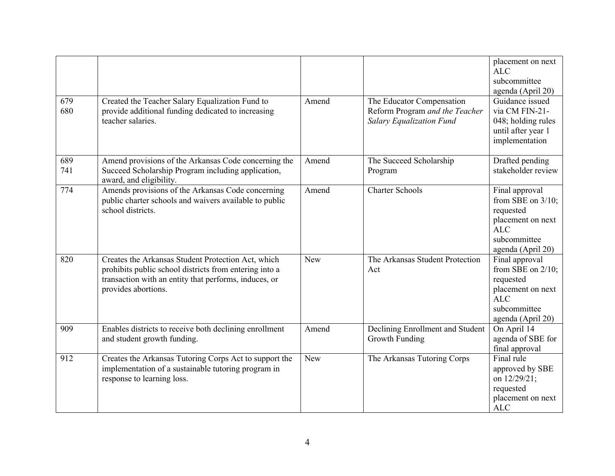| 679<br>680 | Created the Teacher Salary Equalization Fund to<br>provide additional funding dedicated to increasing<br>teacher salaries.                                                                   | Amend | The Educator Compensation<br>Reform Program and the Teacher<br><b>Salary Equalization Fund</b> | placement on next<br><b>ALC</b><br>subcommittee<br>agenda (April 20)<br>Guidance issued<br>via CM FIN-21-<br>048; holding rules<br>until after year 1<br>implementation |
|------------|----------------------------------------------------------------------------------------------------------------------------------------------------------------------------------------------|-------|------------------------------------------------------------------------------------------------|-------------------------------------------------------------------------------------------------------------------------------------------------------------------------|
| 689<br>741 | Amend provisions of the Arkansas Code concerning the<br>Succeed Scholarship Program including application,<br>award, and eligibility.                                                        | Amend | The Succeed Scholarship<br>Program                                                             | Drafted pending<br>stakeholder review                                                                                                                                   |
| 774        | Amends provisions of the Arkansas Code concerning<br>public charter schools and waivers available to public<br>school districts.                                                             | Amend | <b>Charter Schools</b>                                                                         | Final approval<br>from SBE on $3/10$ ;<br>requested<br>placement on next<br><b>ALC</b><br>subcommittee<br>agenda (April 20)                                             |
| 820        | Creates the Arkansas Student Protection Act, which<br>prohibits public school districts from entering into a<br>transaction with an entity that performs, induces, or<br>provides abortions. | New   | The Arkansas Student Protection<br>Act                                                         | Final approval<br>from SBE on $2/10$ ;<br>requested<br>placement on next<br><b>ALC</b><br>subcommittee<br>agenda (April 20)                                             |
| 909        | Enables districts to receive both declining enrollment<br>and student growth funding.                                                                                                        | Amend | Declining Enrollment and Student<br>Growth Funding                                             | On April 14<br>agenda of SBE for<br>final approval                                                                                                                      |
| 912        | Creates the Arkansas Tutoring Corps Act to support the<br>implementation of a sustainable tutoring program in<br>response to learning loss.                                                  | New   | The Arkansas Tutoring Corps                                                                    | Final rule<br>approved by SBE<br>on 12/29/21;<br>requested<br>placement on next<br><b>ALC</b>                                                                           |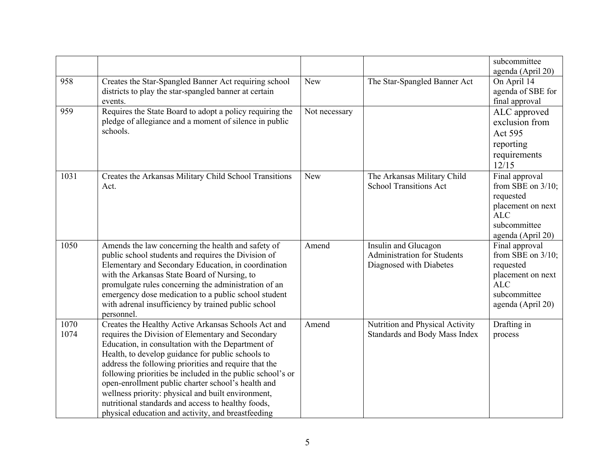|              |                                                                                                                                                                                                                                                                                                                                                                                                                                                                                                                                                                   |               |                                                                                       | subcommittee<br>agenda (April 20)                                                                                           |
|--------------|-------------------------------------------------------------------------------------------------------------------------------------------------------------------------------------------------------------------------------------------------------------------------------------------------------------------------------------------------------------------------------------------------------------------------------------------------------------------------------------------------------------------------------------------------------------------|---------------|---------------------------------------------------------------------------------------|-----------------------------------------------------------------------------------------------------------------------------|
| 958          | Creates the Star-Spangled Banner Act requiring school<br>districts to play the star-spangled banner at certain<br>events.                                                                                                                                                                                                                                                                                                                                                                                                                                         | New           | The Star-Spangled Banner Act                                                          | On April 14<br>agenda of SBE for<br>final approval                                                                          |
| 959          | Requires the State Board to adopt a policy requiring the<br>pledge of allegiance and a moment of silence in public<br>schools.                                                                                                                                                                                                                                                                                                                                                                                                                                    | Not necessary |                                                                                       | ALC approved<br>exclusion from<br>Act 595<br>reporting<br>requirements<br>12/15                                             |
| 1031         | Creates the Arkansas Military Child School Transitions<br>Act.                                                                                                                                                                                                                                                                                                                                                                                                                                                                                                    | New           | The Arkansas Military Child<br><b>School Transitions Act</b>                          | Final approval<br>from SBE on $3/10$ ;<br>requested<br>placement on next<br><b>ALC</b><br>subcommittee<br>agenda (April 20) |
| 1050         | Amends the law concerning the health and safety of<br>public school students and requires the Division of<br>Elementary and Secondary Education, in coordination<br>with the Arkansas State Board of Nursing, to<br>promulgate rules concerning the administration of an<br>emergency dose medication to a public school student<br>with adrenal insufficiency by trained public school<br>personnel.                                                                                                                                                             | Amend         | Insulin and Glucagon<br><b>Administration for Students</b><br>Diagnosed with Diabetes | Final approval<br>from SBE on $3/10$ ;<br>requested<br>placement on next<br>ALC<br>subcommittee<br>agenda (April 20)        |
| 1070<br>1074 | Creates the Healthy Active Arkansas Schools Act and<br>requires the Division of Elementary and Secondary<br>Education, in consultation with the Department of<br>Health, to develop guidance for public schools to<br>address the following priorities and require that the<br>following priorities be included in the public school's or<br>open-enrollment public charter school's health and<br>wellness priority: physical and built environment,<br>nutritional standards and access to healthy foods,<br>physical education and activity, and breastfeeding | Amend         | Nutrition and Physical Activity<br>Standards and Body Mass Index                      | Drafting in<br>process                                                                                                      |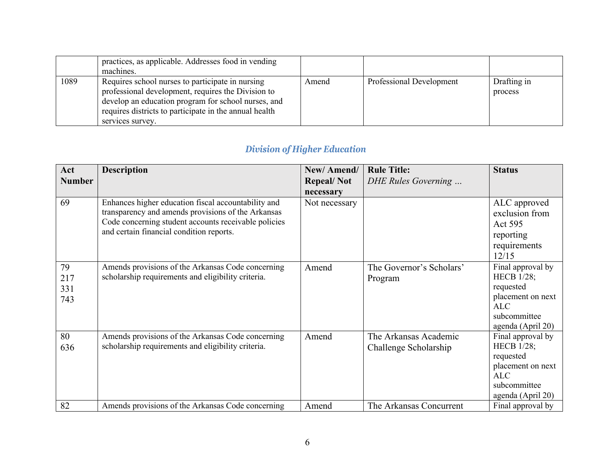|      | practices, as applicable. Addresses food in vending<br>machines.                                                                                                                                                                            |       |                          |                        |
|------|---------------------------------------------------------------------------------------------------------------------------------------------------------------------------------------------------------------------------------------------|-------|--------------------------|------------------------|
| 1089 | Requires school nurses to participate in nursing<br>professional development, requires the Division to<br>develop an education program for school nurses, and<br>requires districts to participate in the annual health<br>services survey. | Amend | Professional Development | Drafting in<br>process |

## *Division of Higher Education*

| Act                     | <b>Description</b>                                                                                                                                                                                            | New/Amend/        | <b>Rule Title:</b>                             | <b>Status</b>                                                                                                        |
|-------------------------|---------------------------------------------------------------------------------------------------------------------------------------------------------------------------------------------------------------|-------------------|------------------------------------------------|----------------------------------------------------------------------------------------------------------------------|
| <b>Number</b>           |                                                                                                                                                                                                               | <b>Repeal/Not</b> | DHE Rules Governing                            |                                                                                                                      |
|                         |                                                                                                                                                                                                               | necessary         |                                                |                                                                                                                      |
| 69                      | Enhances higher education fiscal accountability and<br>transparency and amends provisions of the Arkansas<br>Code concerning student accounts receivable policies<br>and certain financial condition reports. | Not necessary     |                                                | ALC approved<br>exclusion from<br>Act 595<br>reporting<br>requirements<br>12/15                                      |
| 79<br>217<br>331<br>743 | Amends provisions of the Arkansas Code concerning<br>scholarship requirements and eligibility criteria.                                                                                                       | Amend             | The Governor's Scholars'<br>Program            | Final approval by<br><b>HECB</b> 1/28;<br>requested<br>placement on next<br>ALC<br>subcommittee<br>agenda (April 20) |
| 80<br>636               | Amends provisions of the Arkansas Code concerning<br>scholarship requirements and eligibility criteria.                                                                                                       | Amend             | The Arkansas Academic<br>Challenge Scholarship | Final approval by<br><b>HECB</b> 1/28;<br>requested<br>placement on next<br>ALC<br>subcommittee<br>agenda (April 20) |
| 82                      | Amends provisions of the Arkansas Code concerning                                                                                                                                                             | Amend             | The Arkansas Concurrent                        | Final approval by                                                                                                    |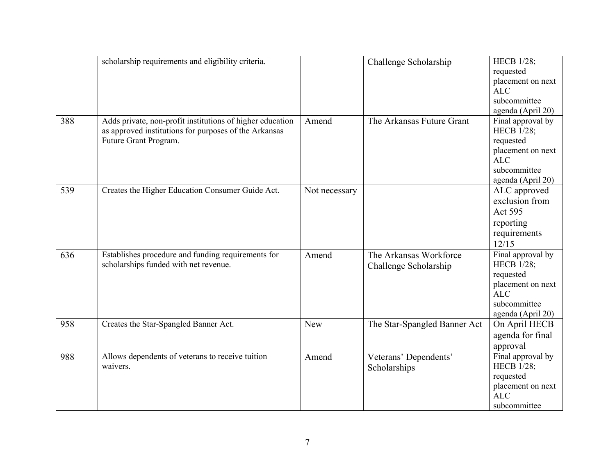|     | scholarship requirements and eligibility criteria.                                                                                          |               | Challenge Scholarship                           | <b>HECB</b> 1/28;<br>requested<br>placement on next<br><b>ALC</b><br>subcommittee<br>agenda (April 20)                      |
|-----|---------------------------------------------------------------------------------------------------------------------------------------------|---------------|-------------------------------------------------|-----------------------------------------------------------------------------------------------------------------------------|
| 388 | Adds private, non-profit institutions of higher education<br>as approved institutions for purposes of the Arkansas<br>Future Grant Program. | Amend         | The Arkansas Future Grant                       | Final approval by<br><b>HECB 1/28;</b><br>requested<br>placement on next<br><b>ALC</b><br>subcommittee<br>agenda (April 20) |
| 539 | Creates the Higher Education Consumer Guide Act.                                                                                            | Not necessary |                                                 | ALC approved<br>exclusion from<br>Act 595<br>reporting<br>requirements<br>12/15                                             |
| 636 | Establishes procedure and funding requirements for<br>scholarships funded with net revenue.                                                 | Amend         | The Arkansas Workforce<br>Challenge Scholarship | Final approval by<br><b>HECB</b> 1/28;<br>requested<br>placement on next<br><b>ALC</b><br>subcommittee<br>agenda (April 20) |
| 958 | Creates the Star-Spangled Banner Act.                                                                                                       | New           | The Star-Spangled Banner Act                    | On April HECB<br>agenda for final<br>approval                                                                               |
| 988 | Allows dependents of veterans to receive tuition<br>waivers.                                                                                | Amend         | Veterans' Dependents'<br>Scholarships           | Final approval by<br><b>HECB</b> 1/28;<br>requested<br>placement on next<br><b>ALC</b><br>subcommittee                      |